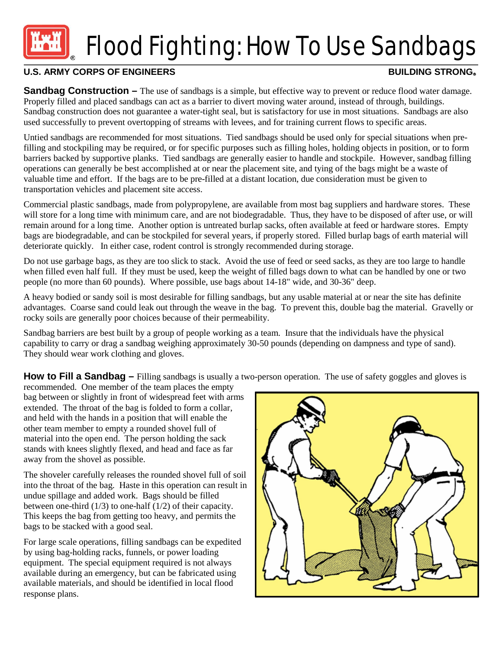# Flood Fighting: How To Use Sandbags

## U.S. ARMY CORPS OF ENGINEERS **BUILDING STRONG®**

**Sandbag Construction** – The use of sandbags is a simple, but effective way to prevent or reduce flood water damage. Properly filled and placed sandbags can act as a barrier to divert moving water around, instead of through, buildings. Sandbag construction does not guarantee a water-tight seal, but is satisfactory for use in most situations. Sandbags are also used successfully to prevent overtopping of streams with levees, and for training current flows to specific areas.

Untied sandbags are recommended for most situations. Tied sandbags should be used only for special situations when prefilling and stockpiling may be required, or for specific purposes such as filling holes, holding objects in position, or to form barriers backed by supportive planks. Tied sandbags are generally easier to handle and stockpile. However, sandbag filling operations can generally be best accomplished at or near the placement site, and tying of the bags might be a waste of valuable time and effort. If the bags are to be pre-filled at a distant location, due consideration must be given to transportation vehicles and placement site access.

Commercial plastic sandbags, made from polypropylene, are available from most bag suppliers and hardware stores. These will store for a long time with minimum care, and are not biodegradable. Thus, they have to be disposed of after use, or will remain around for a long time. Another option is untreated burlap sacks, often available at feed or hardware stores. Empty bags are biodegradable, and can be stockpiled for several years, if properly stored. Filled burlap bags of earth material will deteriorate quickly. In either case, rodent control is strongly recommended during storage.

Do not use garbage bags, as they are too slick to stack. Avoid the use of feed or seed sacks, as they are too large to handle when filled even half full. If they must be used, keep the weight of filled bags down to what can be handled by one or two people (no more than 60 pounds). Where possible, use bags about 14-18" wide, and 30-36" deep.

A heavy bodied or sandy soil is most desirable for filling sandbags, but any usable material at or near the site has definite advantages. Coarse sand could leak out through the weave in the bag. To prevent this, double bag the material. Gravelly or rocky soils are generally poor choices because of their permeability.

Sandbag barriers are best built by a group of people working as a team. Insure that the individuals have the physical capability to carry or drag a sandbag weighing approximately 30-50 pounds (depending on dampness and type of sand). They should wear work clothing and gloves.

**How to Fill a Sandbag** – Filling sandbags is usually a two-person operation. The use of safety goggles and gloves is

recommended. One member of the team places the empty bag between or slightly in front of widespread feet with arms extended. The throat of the bag is folded to form a collar, and held with the hands in a position that will enable the other team member to empty a rounded shovel full of material into the open end. The person holding the sack stands with knees slightly flexed, and head and face as far away from the shovel as possible.

The shoveler carefully releases the rounded shovel full of soil into the throat of the bag. Haste in this operation can result in undue spillage and added work. Bags should be filled between one-third (1/3) to one-half (1/2) of their capacity. This keeps the bag from getting too heavy, and permits the bags to be stacked with a good seal.

For large scale operations, filling sandbags can be expedited by using bag-holding racks, funnels, or power loading equipment. The special equipment required is not always available during an emergency, but can be fabricated using available materials, and should be identified in local flood response plans.

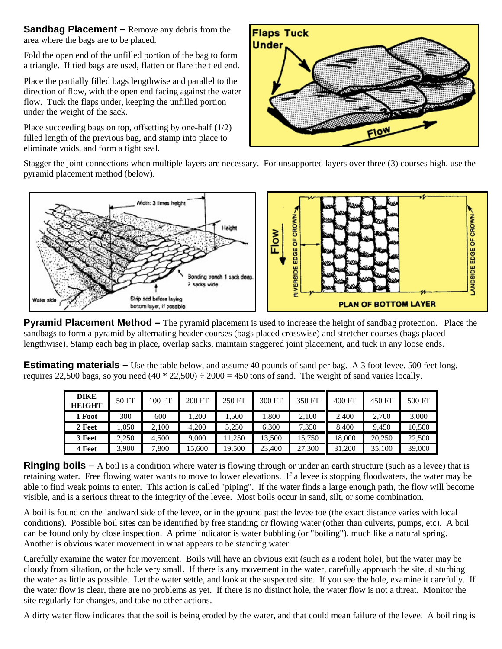**Sandbag Placement** – Remove any debris from the area where the bags are to be placed.

Fold the open end of the unfilled portion of the bag to form a triangle. If tied bags are used, flatten or flare the tied end.

Place the partially filled bags lengthwise and parallel to the direction of flow, with the open end facing against the water flow. Tuck the flaps under, keeping the unfilled portion under the weight of the sack.

Place succeeding bags on top, offsetting by one-half (1/2) filled length of the previous bag, and stamp into place to eliminate voids, and form a tight seal.



Stagger the joint connections when multiple layers are necessary. For unsupported layers over three (3) courses high, use the pyramid placement method (below).



**Pyramid Placement Method** – The pyramid placement is used to increase the height of sandbag protection. Place the sandbags to form a pyramid by alternating header courses (bags placed crosswise) and stretcher courses (bags placed lengthwise). Stamp each bag in place, overlap sacks, maintain staggered joint placement, and tuck in any loose ends.

**Estimating materials –** Use the table below, and assume 40 pounds of sand per bag. A 3 foot levee, 500 feet long, requires 22,500 bags, so you need  $(40 * 22,500) \div 2000 = 450$  tons of sand. The weight of sand varies locally.

| <b>DIKE</b><br><b>HEIGHT</b> | 50 FT | 100 FT | 200 FT | 250 FT | 300 FT | 350 FT | 400 FT | 450 FT | 500 FT |
|------------------------------|-------|--------|--------|--------|--------|--------|--------|--------|--------|
| 1 Foot                       | 300   | 600    | .200   | 1.500  | .800   | 2,100  | 2.400  | 2,700  | 3,000  |
| 2 Feet                       | .050  | .100   | 4.200  | 5.250  | 6.300  | 7,350  | 8.400  | 9.450  | 10.500 |
| 3 Feet                       | 2.250 | 4.500  | 9.000  | 1.250  | 13,500 | 15,750 | 18.000 | 20,250 | 22,500 |
| 4 Feet                       | 3.900 | .800   | 5,600  | 19.500 | 23,400 | 27,300 | 31,200 | 35,100 | 39,000 |

**Ringing boils** – A boil is a condition where water is flowing through or under an earth structure (such as a levee) that is retaining water. Free flowing water wants to move to lower elevations. If a levee is stopping floodwaters, the water may be able to find weak points to enter. This action is called "piping". If the water finds a large enough path, the flow will become visible, and is a serious threat to the integrity of the levee. Most boils occur in sand, silt, or some combination.

A boil is found on the landward side of the levee, or in the ground past the levee toe (the exact distance varies with local conditions). Possible boil sites can be identified by free standing or flowing water (other than culverts, pumps, etc). A boil can be found only by close inspection. A prime indicator is water bubbling (or "boiling"), much like a natural spring. Another is obvious water movement in what appears to be standing water.

Carefully examine the water for movement. Boils will have an obvious exit (such as a rodent hole), but the water may be cloudy from siltation, or the hole very small. If there is any movement in the water, carefully approach the site, disturbing the water as little as possible. Let the water settle, and look at the suspected site. If you see the hole, examine it carefully. If the water flow is clear, there are no problems as yet. If there is no distinct hole, the water flow is not a threat. Monitor the site regularly for changes, and take no other actions.

A dirty water flow indicates that the soil is being eroded by the water, and that could mean failure of the levee. A boil ring is